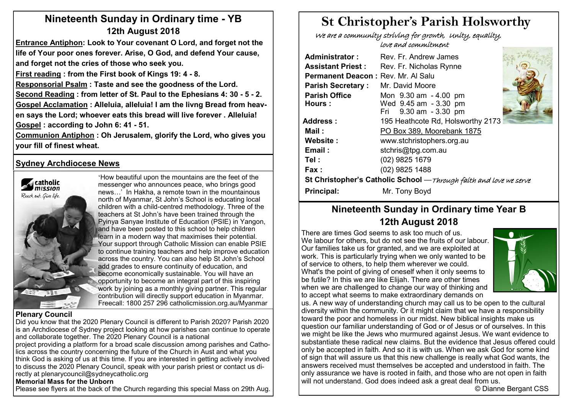# **Nineteenth Sunday in Ordinary time - YB 12th August 2018**

**Entrance Antiphon: Look to Your covenant O Lord, and forget not the life of Your poor ones forever. Arise, O God, and defend Your cause, and forget not the cries of those who seek you.**

**First reading : from the First book of Kings 19: 4 - 8.** 

**Responsorial Psalm : Taste and see the goodness of the Lord.**

**Second Reading : from letter of St. Paul to the Ephesians 4: 30 - 5 - 2. Gospel Acclamation : Alleluia, alleluia! I am the livng Bread from heaven says the Lord; whoever eats this bread will live forever . Alleluia! Gospel : according to John 6: 41 - 51.** 

**Communion Antiphon : Oh Jerusalem, glorify the Lord, who gives you your fill of finest wheat.**

# **Sydney Archdiocese News**



'How beautiful upon the mountains are the feet of the messenger who announces peace, who brings good news…' In Hakha, a remote town in the mountainous north of Myanmar, St John's School is educating local children with a child-centred methodology. Three of the teachers at St John's have been trained through the Pyinya Sanyae Institute of Education (PSIE) in Yangon, and have been posted to this school to help children learn in a modern way that maximises their potential. Your support through Catholic Mission can enable PSIE to continue training teachers and help improve education across the country. You can also help St John's School add grades to ensure continuity of education, and become economically sustainable. You will have an opportunity to become an integral part of this inspiring work by joining as a monthly giving partner. This regular contribution will directly support education in Myanmar. Freecall: 1800 257 296 catholicmission.org.au/Myanmar

#### **Plenary Council**

Did you know that the 2020 Plenary Council is different to Parish 2020? Parish 2020 is an Archdiocese of Sydney project looking at how parishes can continue to operate and collaborate together. The 2020 Plenary Council is a national

project providing a platform for a broad scale discussion among parishes and Catholics across the country concerning the future of the Church in Aust and what you think God is asking of us at this time. If you are interested in getting actively involved to discuss the 2020 Plenary Council, speak with your parish priest or contact us directly at plenarycouncil@sydneycatholic.org

#### **Memorial Mass for the Unborn**

Please see flyers at the back of the Church regarding this special Mass on 29th Aug.

# **St Christopher's Parish Holsworthy**

 We are a community striving for growth, Unity, equality, love and commitment

| Rev. Fr. Andrew James                                              |                                                             |  |  |  |  |  |  |
|--------------------------------------------------------------------|-------------------------------------------------------------|--|--|--|--|--|--|
| Rev. Fr. Nicholas Rynne                                            |                                                             |  |  |  |  |  |  |
|                                                                    |                                                             |  |  |  |  |  |  |
| Mr. David Moore                                                    |                                                             |  |  |  |  |  |  |
| Mon 9.30 am - 4.00 pm                                              |                                                             |  |  |  |  |  |  |
| Wed 9.45 am - 3.30 pm                                              |                                                             |  |  |  |  |  |  |
|                                                                    |                                                             |  |  |  |  |  |  |
| 195 Heathcote Rd, Holsworthy 2173                                  |                                                             |  |  |  |  |  |  |
| PO Box 389, Moorebank 1875                                         |                                                             |  |  |  |  |  |  |
| www.stchristophers.org.au                                          |                                                             |  |  |  |  |  |  |
| stchris@tpg.com.au                                                 |                                                             |  |  |  |  |  |  |
| (02) 9825 1679                                                     |                                                             |  |  |  |  |  |  |
| (02) 9825 1488                                                     |                                                             |  |  |  |  |  |  |
| St Christopher's Catholic School - Through faith and love we serve |                                                             |  |  |  |  |  |  |
| Mr. Tony Boyd                                                      |                                                             |  |  |  |  |  |  |
|                                                                    | Permanent Deacon: Rev. Mr. Al Salu<br>Fri 9.30 am - 3.30 pm |  |  |  |  |  |  |

# **Nineteenth Sunday in Ordinary time Year B 12th August 2018**

There are times God seems to ask too much of us. We labour for others, but do not see the fruits of our labour. Our families take us for granted, and we are exploited at work. This is particularly trying when we only wanted to be of service to others, to help them wherever we could. What's the point of giving of oneself when it only seems to be futile? In this we are like Elijah. There are other times when we are challenged to change our way of thinking and to accept what seems to make extraordinary demands on



us. A new way of understanding church may call us to be open to the cultural diversity within the community. Or it might claim that we have a responsibility toward the poor and homeless in our midst. New biblical insights make us question our familiar understanding of God or of Jesus or of ourselves. In this we might be like the Jews who murmured against Jesus. We want evidence to substantiate these radical new claims. But the evidence that Jesus offered could only be accepted in faith. And so it is with us. When we ask God for some kind  $\vert$  of sign that will assure us that this new challenge is really what God wants, the answers received must themselves be accepted and understood in faith. The only assurance we have is rooted in faith, and those who are not open in faith will not understand. God does indeed ask a great deal from us.

© Dianne Bergant CSS